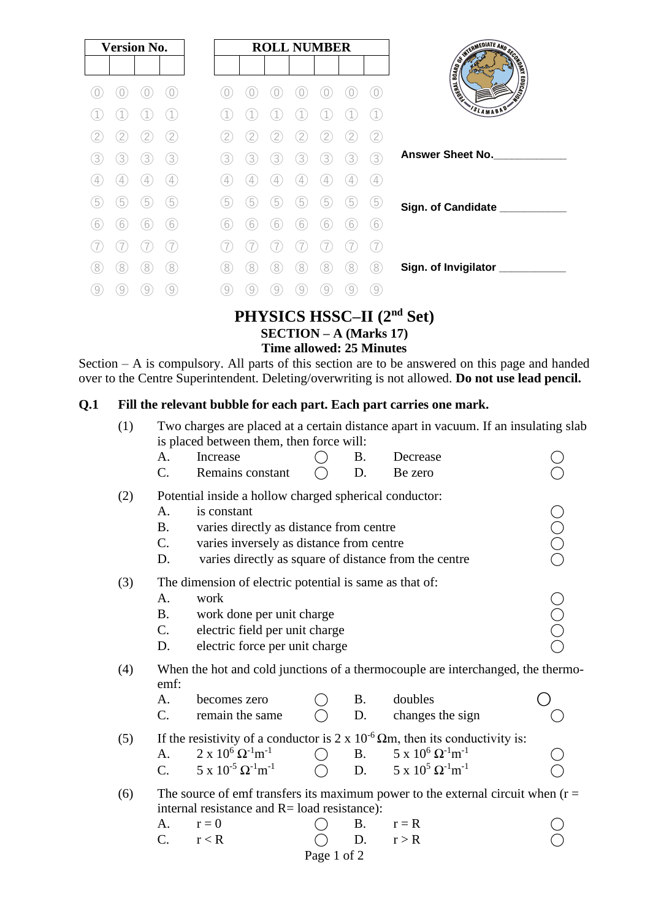| <b>Version No.</b> |               |                |                   |
|--------------------|---------------|----------------|-------------------|
|                    |               |                |                   |
|                    |               |                |                   |
|                    |               |                |                   |
|                    |               |                | $\overline{2}$    |
| 3                  | 3)            | 3.             | 3)                |
| 4                  | $\frac{1}{2}$ | $\overline{4}$ | $\left( 4\right)$ |
| 5                  | 5             | 5              | 5                 |
| 6                  | 6             | 6              | (6)               |
|                    |               |                |                   |
| 8                  | 8             | 8              | 8                 |
|                    |               |                | 9                 |

# **PHYSICS HSSC–II (2nd Set) SECTION – A (Marks 17)**

### **Time allowed: 25 Minutes**

Section – A is compulsory. All parts of this section are to be answered on this page and handed over to the Centre Superintendent. Deleting/overwriting is not allowed. **Do not use lead pencil.**

#### **Q.1 Fill the relevant bubble for each part. Each part carries one mark.**

| is placed between them, then force will:<br>Increase<br>Decrease<br>A.<br>B.<br>C.<br>Remains constant<br>D.<br>Be zero<br>Potential inside a hollow charged spherical conductor:<br>(2) |                                                                                              |  |  |  |  |  |  |  |  |  |  |
|------------------------------------------------------------------------------------------------------------------------------------------------------------------------------------------|----------------------------------------------------------------------------------------------|--|--|--|--|--|--|--|--|--|--|
|                                                                                                                                                                                          |                                                                                              |  |  |  |  |  |  |  |  |  |  |
|                                                                                                                                                                                          |                                                                                              |  |  |  |  |  |  |  |  |  |  |
|                                                                                                                                                                                          |                                                                                              |  |  |  |  |  |  |  |  |  |  |
| A.<br>is constant                                                                                                                                                                        |                                                                                              |  |  |  |  |  |  |  |  |  |  |
| <b>B.</b><br>varies directly as distance from centre                                                                                                                                     |                                                                                              |  |  |  |  |  |  |  |  |  |  |
| C.<br>varies inversely as distance from centre                                                                                                                                           |                                                                                              |  |  |  |  |  |  |  |  |  |  |
| varies directly as square of distance from the centre<br>D.                                                                                                                              | OOOO                                                                                         |  |  |  |  |  |  |  |  |  |  |
| (3)<br>The dimension of electric potential is same as that of:                                                                                                                           |                                                                                              |  |  |  |  |  |  |  |  |  |  |
| work<br>A.                                                                                                                                                                               |                                                                                              |  |  |  |  |  |  |  |  |  |  |
| <b>B.</b><br>work done per unit charge                                                                                                                                                   |                                                                                              |  |  |  |  |  |  |  |  |  |  |
| C.<br>electric field per unit charge                                                                                                                                                     | OOOO                                                                                         |  |  |  |  |  |  |  |  |  |  |
| electric force per unit charge<br>D.                                                                                                                                                     |                                                                                              |  |  |  |  |  |  |  |  |  |  |
| When the hot and cold junctions of a thermocouple are interchanged, the thermo-<br>(4)<br>emf:                                                                                           |                                                                                              |  |  |  |  |  |  |  |  |  |  |
| doubles<br><b>B.</b><br>becomes zero<br>A.                                                                                                                                               |                                                                                              |  |  |  |  |  |  |  |  |  |  |
| C.<br>remain the same<br>D.<br>changes the sign                                                                                                                                          |                                                                                              |  |  |  |  |  |  |  |  |  |  |
| (5)                                                                                                                                                                                      | If the resistivity of a conductor is $2 \times 10^{-6} \Omega m$ , then its conductivity is: |  |  |  |  |  |  |  |  |  |  |
| $2 \times 10^6 \Omega^{-1} m^{-1}$<br>$5 \times 10^6 \Omega^{-1}$ m <sup>-1</sup><br>A.<br><b>B</b> .                                                                                    |                                                                                              |  |  |  |  |  |  |  |  |  |  |
| $5 \times 10^{-5} \Omega^{-1} m^{-1}$<br>5 x $10^5$ Ω <sup>-1</sup> m <sup>-1</sup><br>D.<br>$C_{\cdot}$                                                                                 |                                                                                              |  |  |  |  |  |  |  |  |  |  |
| (6)<br>internal resistance and R= load resistance):                                                                                                                                      | The source of emf transfers its maximum power to the external circuit when $(r =$            |  |  |  |  |  |  |  |  |  |  |
| <b>B.</b><br>$r = 0$<br>$r = R$<br>А.                                                                                                                                                    |                                                                                              |  |  |  |  |  |  |  |  |  |  |
| C.<br>D.<br>r < R<br>r > R                                                                                                                                                               |                                                                                              |  |  |  |  |  |  |  |  |  |  |

Page 1 of 2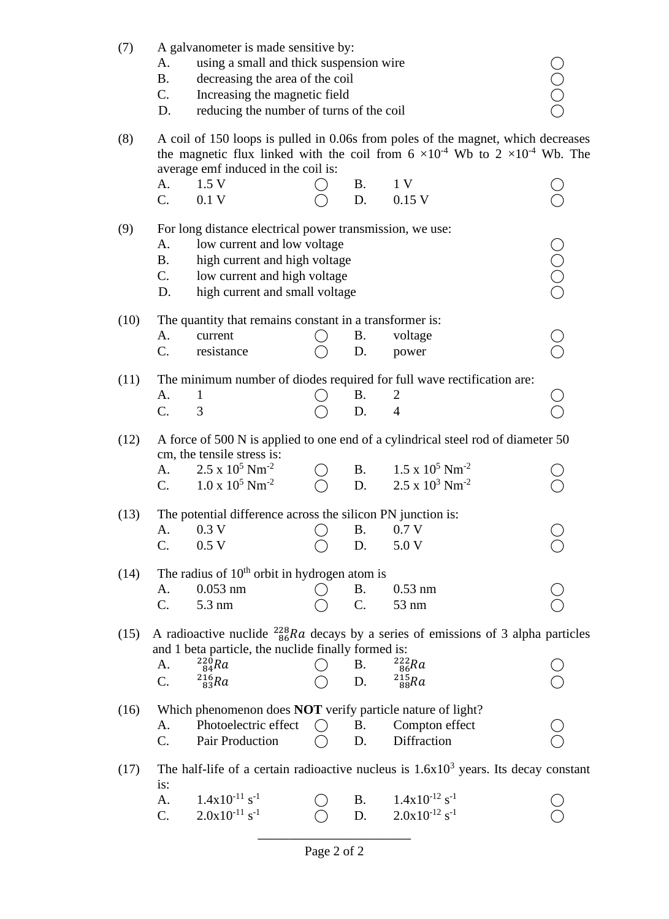| (7)                                                                                                                                                       | A galvanometer is made sensitive by:<br>A.<br><b>B.</b><br>C.<br>D.                                                                                                                                                        |                                                                                                        |  |           |                                                                                                                                                                 |  |  |  |  |  |
|-----------------------------------------------------------------------------------------------------------------------------------------------------------|----------------------------------------------------------------------------------------------------------------------------------------------------------------------------------------------------------------------------|--------------------------------------------------------------------------------------------------------|--|-----------|-----------------------------------------------------------------------------------------------------------------------------------------------------------------|--|--|--|--|--|
| (8)                                                                                                                                                       | A coil of 150 loops is pulled in 0.06s from poles of the magnet, which decreases<br>the magnetic flux linked with the coil from $6 \times 10^{-4}$ Wb to $2 \times 10^{-4}$ Wb. The<br>average emf induced in the coil is: |                                                                                                        |  |           |                                                                                                                                                                 |  |  |  |  |  |
|                                                                                                                                                           | A.                                                                                                                                                                                                                         | 1.5V                                                                                                   |  | <b>B.</b> | 1 V                                                                                                                                                             |  |  |  |  |  |
|                                                                                                                                                           | $C_{\cdot}$                                                                                                                                                                                                                | 0.1V                                                                                                   |  | D.        | $0.15$ V                                                                                                                                                        |  |  |  |  |  |
| (9)                                                                                                                                                       | For long distance electrical power transmission, we use:<br>low current and low voltage<br>A.<br><b>B.</b><br>high current and high voltage<br>C.<br>low current and high voltage<br>high current and small voltage<br>D.  |                                                                                                        |  |           |                                                                                                                                                                 |  |  |  |  |  |
| (10)                                                                                                                                                      |                                                                                                                                                                                                                            | The quantity that remains constant in a transformer is:                                                |  |           |                                                                                                                                                                 |  |  |  |  |  |
|                                                                                                                                                           | Α.                                                                                                                                                                                                                         | current                                                                                                |  | Β.        | voltage                                                                                                                                                         |  |  |  |  |  |
|                                                                                                                                                           | C.                                                                                                                                                                                                                         | resistance                                                                                             |  | D.        | power                                                                                                                                                           |  |  |  |  |  |
| (11)                                                                                                                                                      |                                                                                                                                                                                                                            |                                                                                                        |  |           | The minimum number of diodes required for full wave rectification are:                                                                                          |  |  |  |  |  |
|                                                                                                                                                           | A.                                                                                                                                                                                                                         | 1                                                                                                      |  | Β.        | 2                                                                                                                                                               |  |  |  |  |  |
|                                                                                                                                                           | C.                                                                                                                                                                                                                         | 3                                                                                                      |  | D.        | $\overline{4}$                                                                                                                                                  |  |  |  |  |  |
| (12)                                                                                                                                                      | А.<br>C.                                                                                                                                                                                                                   | cm, the tensile stress is:<br>$2.5 \times 10^5$ Nm <sup>-2</sup><br>$1.0 \times 10^5$ Nm <sup>-2</sup> |  | D.        | A force of 500 N is applied to one end of a cylindrical steel rod of diameter 50<br>B. $1.5 \times 10^5$ Nm <sup>-2</sup><br>$2.5 \times 10^3$ Nm <sup>-2</sup> |  |  |  |  |  |
| (13)                                                                                                                                                      |                                                                                                                                                                                                                            |                                                                                                        |  |           |                                                                                                                                                                 |  |  |  |  |  |
|                                                                                                                                                           | The potential difference across the silicon PN junction is:<br>$0.3~\mathrm{V}$<br><b>B.</b><br>$0.7~\mathrm{V}$<br>A.                                                                                                     |                                                                                                        |  |           |                                                                                                                                                                 |  |  |  |  |  |
|                                                                                                                                                           | C.                                                                                                                                                                                                                         | 0.5 V                                                                                                  |  | D.        | 5.0 V                                                                                                                                                           |  |  |  |  |  |
|                                                                                                                                                           |                                                                                                                                                                                                                            |                                                                                                        |  |           |                                                                                                                                                                 |  |  |  |  |  |
| The radius of 10 <sup>th</sup> orbit in hydrogen atom is<br>(14)                                                                                          |                                                                                                                                                                                                                            |                                                                                                        |  |           |                                                                                                                                                                 |  |  |  |  |  |
|                                                                                                                                                           | A.                                                                                                                                                                                                                         | $0.053$ nm                                                                                             |  | Β.        | $0.53$ nm                                                                                                                                                       |  |  |  |  |  |
|                                                                                                                                                           | C.                                                                                                                                                                                                                         | 5.3 nm                                                                                                 |  | C.        | 53 nm                                                                                                                                                           |  |  |  |  |  |
| A radioactive nuclide $^{228}_{86}Ra$ decays by a series of emissions of 3 alpha particles<br>(15)<br>and 1 beta particle, the nuclide finally formed is: |                                                                                                                                                                                                                            |                                                                                                        |  |           |                                                                                                                                                                 |  |  |  |  |  |
|                                                                                                                                                           | A.                                                                                                                                                                                                                         | $^{220}_{84}Ra$                                                                                        |  | B.        | $^{222}_{86}$ Ra                                                                                                                                                |  |  |  |  |  |
|                                                                                                                                                           | C.                                                                                                                                                                                                                         | $^{216}_{83}Ra$                                                                                        |  | D.        | $^{215}_{88}Ra$                                                                                                                                                 |  |  |  |  |  |
| Which phenomenon does NOT verify particle nature of light?<br>(16)                                                                                        |                                                                                                                                                                                                                            |                                                                                                        |  |           |                                                                                                                                                                 |  |  |  |  |  |
|                                                                                                                                                           | Α.                                                                                                                                                                                                                         | Photoelectric effect                                                                                   |  | <b>B.</b> | Compton effect                                                                                                                                                  |  |  |  |  |  |
|                                                                                                                                                           | C.                                                                                                                                                                                                                         | Pair Production                                                                                        |  | D.        | Diffraction                                                                                                                                                     |  |  |  |  |  |
|                                                                                                                                                           |                                                                                                                                                                                                                            |                                                                                                        |  |           |                                                                                                                                                                 |  |  |  |  |  |
| (17)                                                                                                                                                      | The half-life of a certain radioactive nucleus is $1.6x103$ years. Its decay constant<br>is:                                                                                                                               |                                                                                                        |  |           |                                                                                                                                                                 |  |  |  |  |  |
|                                                                                                                                                           | A.                                                                                                                                                                                                                         | $1.4x10^{-11}$ s <sup>-1</sup>                                                                         |  | Β.        | $1.4x10^{-12}$ s <sup>-1</sup>                                                                                                                                  |  |  |  |  |  |
|                                                                                                                                                           | C.                                                                                                                                                                                                                         | $2.0x10^{-11}$ s <sup>-1</sup>                                                                         |  | D.        | $2.0x10^{-12}$ s <sup>-1</sup>                                                                                                                                  |  |  |  |  |  |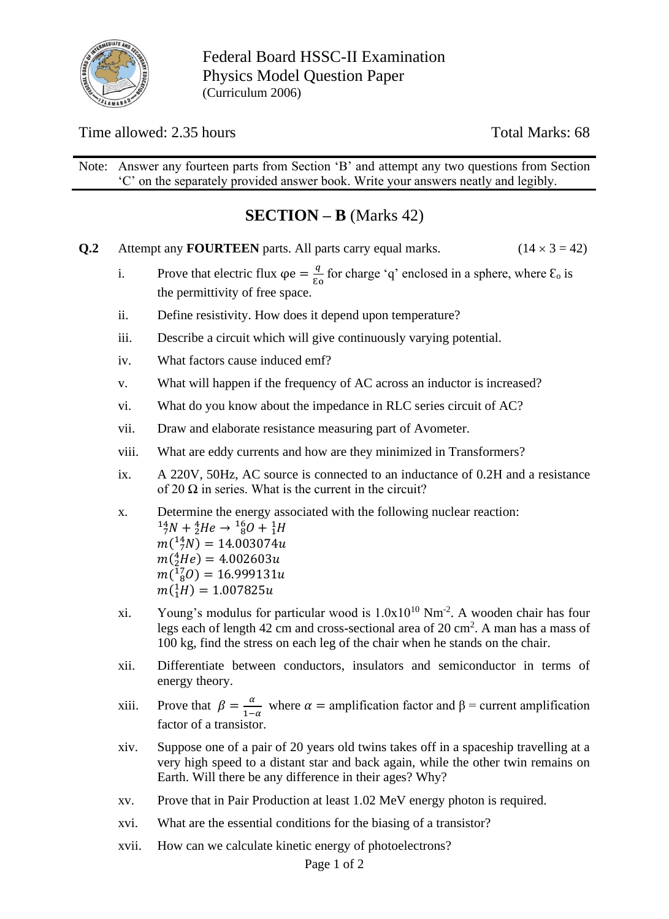

Federal Board HSSC-II Examination Physics Model Question Paper (Curriculum 2006)

Time allowed: 2.35 hours Total Marks: 68

Note: Answer any fourteen parts from Section 'B' and attempt any two questions from Section 'C' on the separately provided answer book. Write your answers neatly and legibly.

# **SECTION – B** (Marks 42)

- **Q.2** Attempt any **FOURTEEN** parts. All parts carry equal marks. ( $14 \times 3 = 42$ )
	- i. Prove that electric flux  $\varphi e = \frac{q}{c}$  $\frac{q}{\epsilon_0}$  for charge 'q' enclosed in a sphere, where  $\epsilon_0$  is the permittivity of free space.
	- ii. Define resistivity. How does it depend upon temperature?
	- iii. Describe a circuit which will give continuously varying potential.
	- iv. What factors cause induced emf?
	- v. What will happen if the frequency of AC across an inductor is increased?
	- vi. What do you know about the impedance in RLC series circuit of AC?
	- vii. Draw and elaborate resistance measuring part of Avometer.
	- viii. What are eddy currents and how are they minimized in Transformers?
	- ix. A 220V, 50Hz, AC source is connected to an inductance of 0.2H and a resistance of 20  $\Omega$  in series. What is the current in the circuit?
	- x. Determine the energy associated with the following nuclear reaction:  $^{14}_{7}N + ^{4}_{2}He \rightarrow ^{16}_{8}O + ^{1}_{1}H$  $m(^{14}_{7}N) = 14.003074u$  $m(^{4}_{2}He) = 4.002603u$  $m(^{17}_{8}O) = 16.999131u$  $m(^1H) = 1.007825u$
	- xi. Young's modulus for particular wood is  $1.0x10^{10}$  Nm<sup>-2</sup>. A wooden chair has four legs each of length 42 cm and cross-sectional area of 20 cm<sup>2</sup>. A man has a mass of 100 kg, find the stress on each leg of the chair when he stands on the chair.
	- xii. Differentiate between conductors, insulators and semiconductor in terms of energy theory.
	- xiii. Prove that  $\beta = \frac{\alpha}{1}$  $\frac{a}{1-a}$  where  $\alpha$  = amplification factor and  $\beta$  = current amplification factor of a transistor.
	- xiv. Suppose one of a pair of 20 years old twins takes off in a spaceship travelling at a very high speed to a distant star and back again, while the other twin remains on Earth. Will there be any difference in their ages? Why?
	- xv. Prove that in Pair Production at least 1.02 MeV energy photon is required.
	- xvi. What are the essential conditions for the biasing of a transistor?
	- xvii. How can we calculate kinetic energy of photoelectrons?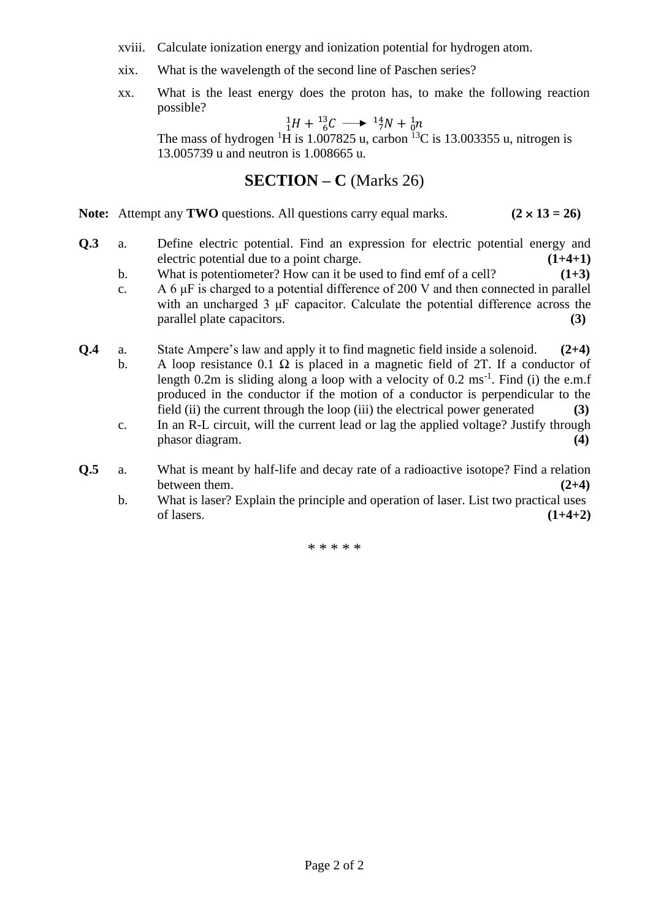- xviii. Calculate ionization energy and ionization potential for hydrogen atom.
- xix. What is the wavelength of the second line of Paschen series?
- xx. What is the least energy does the proton has, to make the following reaction possible?

$$
{}_{1}^{1}H + {}_{6}^{13}C \longrightarrow {}_{7}^{14}N + {}_{0}^{1}n
$$

The mass of hydrogen <sup>1</sup>H is 1.007825 u, carbon <sup>13</sup>C is 13.003355 u, nitrogen is 13.005739 u and neutron is 1.008665 u.

### **SECTION – C** (Marks 26)

**Note:** Attempt any **TWO** questions. All questions carry equal marks.  $(2 \times 13 = 26)$ 

- **Q.3** a. Define electric potential. Find an expression for electric potential energy and electric potential due to a point charge. **(1+4+1)**
	- b. What is potentiometer? How can it be used to find emf of a cell? **(1+3)**
	- c. A 6  $\mu$ F is charged to a potential difference of 200 V and then connected in parallel with an uncharged 3 μF capacitor. Calculate the potential difference across the parallel plate capacitors. **(3)**
- **Q.4** a. State Ampere's law and apply it to find magnetic field inside a solenoid. **(2+4)** b. A loop resistance 0.1  $\Omega$  is placed in a magnetic field of 2T. If a conductor of length  $0.2m$  is sliding along a loop with a velocity of  $0.2 \text{ ms}^{-1}$ . Find (i) the e.m.f produced in the conductor if the motion of a conductor is perpendicular to the
	- field (ii) the current through the loop (iii) the electrical power generated **(3)** c. In an R-L circuit, will the current lead or lag the applied voltage? Justify through phasor diagram. **(4)**
- **Q.5** a. What is meant by half-life and decay rate of a radioactive isotope? Find a relation between them.  $(2+4)$ 
	- b. What is laser? Explain the principle and operation of laser. List two practical uses of lasers. **(1+4+2)**

\* \* \* \* \*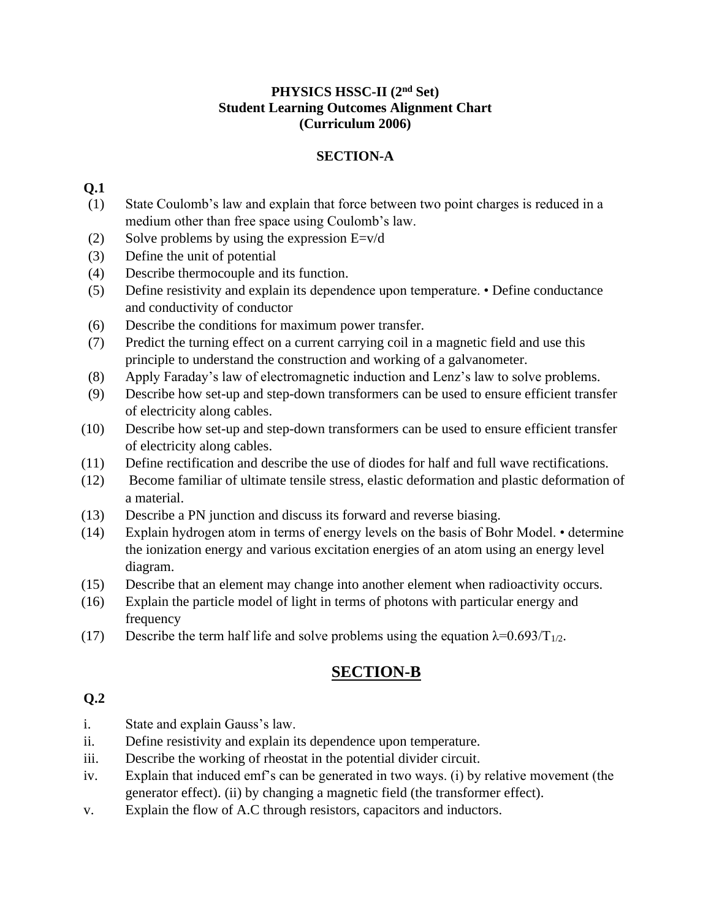#### **PHYSICS HSSC-II (2nd Set) Student Learning Outcomes Alignment Chart (Curriculum 2006)**

#### **SECTION-A**

#### **Q.1**

- (1) State Coulomb's law and explain that force between two point charges is reduced in a medium other than free space using Coulomb's law.
- (2) Solve problems by using the expression  $E=v/d$
- (3) Define the unit of potential
- (4) Describe thermocouple and its function.
- (5) Define resistivity and explain its dependence upon temperature. Define conductance and conductivity of conductor
- (6) Describe the conditions for maximum power transfer.
- (7) Predict the turning effect on a current carrying coil in a magnetic field and use this principle to understand the construction and working of a galvanometer.
- (8) Apply Faraday's law of electromagnetic induction and Lenz's law to solve problems.
- (9) Describe how set-up and step-down transformers can be used to ensure efficient transfer of electricity along cables.
- (10) Describe how set-up and step-down transformers can be used to ensure efficient transfer of electricity along cables.
- (11) Define rectification and describe the use of diodes for half and full wave rectifications.
- (12) Become familiar of ultimate tensile stress, elastic deformation and plastic deformation of a material.
- (13) Describe a PN junction and discuss its forward and reverse biasing.
- (14) Explain hydrogen atom in terms of energy levels on the basis of Bohr Model. determine the ionization energy and various excitation energies of an atom using an energy level diagram.
- (15) Describe that an element may change into another element when radioactivity occurs.
- (16) Explain the particle model of light in terms of photons with particular energy and frequency
- (17) Describe the term half life and solve problems using the equation  $\lambda = 0.693/T_{1/2}$ .

# **SECTION-B**

### **Q.2**

- i. State and explain Gauss's law.
- ii. Define resistivity and explain its dependence upon temperature.
- iii. Describe the working of rheostat in the potential divider circuit.
- iv. Explain that induced emf's can be generated in two ways. (i) by relative movement (the generator effect). (ii) by changing a magnetic field (the transformer effect).
- v. Explain the flow of A.C through resistors, capacitors and inductors.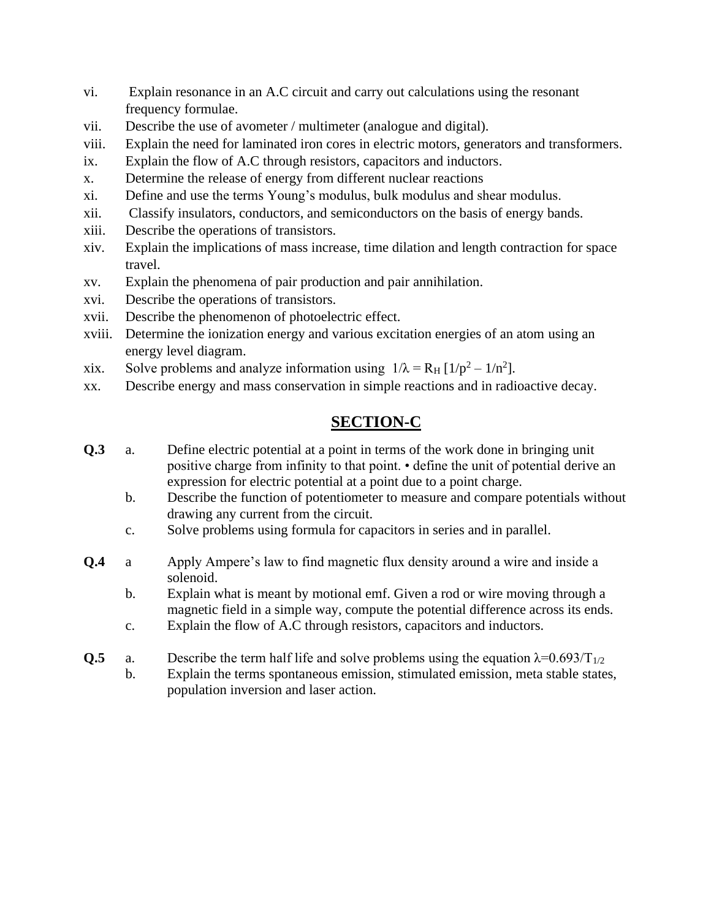- vi. Explain resonance in an A.C circuit and carry out calculations using the resonant frequency formulae.
- vii. Describe the use of avometer / multimeter (analogue and digital).
- viii. Explain the need for laminated iron cores in electric motors, generators and transformers.
- ix. Explain the flow of A.C through resistors, capacitors and inductors.
- x. Determine the release of energy from different nuclear reactions
- xi. Define and use the terms Young's modulus, bulk modulus and shear modulus.
- xii. Classify insulators, conductors, and semiconductors on the basis of energy bands.
- xiii. Describe the operations of transistors.
- xiv. Explain the implications of mass increase, time dilation and length contraction for space travel.
- xv. Explain the phenomena of pair production and pair annihilation.
- xvi. Describe the operations of transistors.
- xvii. Describe the phenomenon of photoelectric effect.
- xviii. Determine the ionization energy and various excitation energies of an atom using an energy level diagram.
- xix. Solve problems and analyze information using  $1/\lambda = R_H [1/p^2 1/n^2]$ .
- xx. Describe energy and mass conservation in simple reactions and in radioactive decay.

# **SECTION-C**

- **Q.3** a. Define electric potential at a point in terms of the work done in bringing unit positive charge from infinity to that point. • define the unit of potential derive an expression for electric potential at a point due to a point charge.
	- b. Describe the function of potentiometer to measure and compare potentials without drawing any current from the circuit.
	- c. Solve problems using formula for capacitors in series and in parallel.
- **Q.4** a Apply Ampere's law to find magnetic flux density around a wire and inside a solenoid.
	- b. Explain what is meant by motional emf. Given a rod or wire moving through a magnetic field in a simple way, compute the potential difference across its ends.
	- c. Explain the flow of A.C through resistors, capacitors and inductors.
- **Q.5** a. Describe the term half life and solve problems using the equation  $\lambda = 0.693/T_{1/2}$ 
	- b. Explain the terms spontaneous emission, stimulated emission, meta stable states, population inversion and laser action.